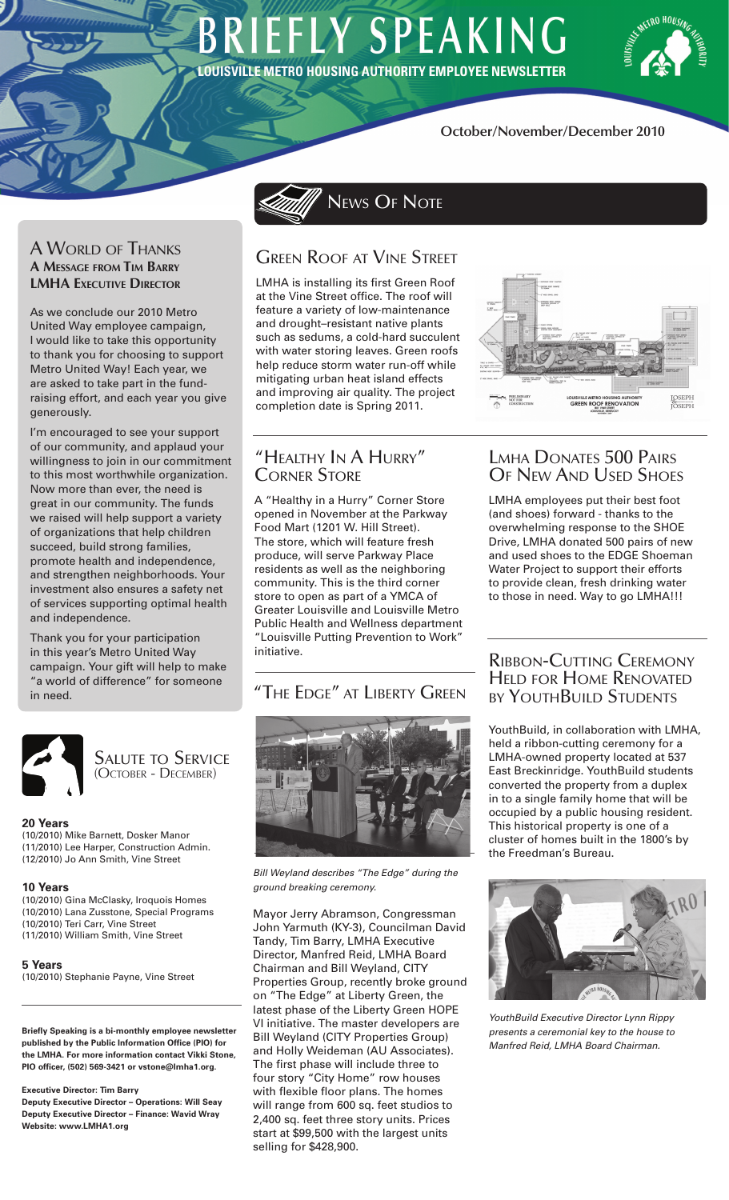# **BRIEFLY SPEAKING** LOUISVILLE METRO HOUSING AUTHORITY EMPLOYEE NEWSLETTER

News OF Note



## **October/November/December 2010**

## A World of Thanks **A Message from Tim Barry LMHA EXECUTIVE DIRECTOR**

As we conclude our 2010 Metro United Way employee campaign, I would like to take this opportunity to thank you for choosing to support Metro United Way! Each year, we are asked to take part in the fundraising effort, and each year you give generously.

I'm encouraged to see your support of our community, and applaud your willingness to join in our commitment to this most worthwhile organization. Now more than ever, the need is great in our community. The funds we raised will help support a variety of organizations that help children succeed, build strong families, promote health and independence, and strengthen neighborhoods. Your investment also ensures a safety net of services supporting optimal health and independence.

Thank you for your participation in this year's Metro United Way campaign. Your gift will help to make "a world of difference" for someone



Salute to Service (October - December)

### **20 Years**

(10/2010) Mike Barnett, Dosker Manor (11/2010) Lee Harper, Construction Admin. (12/2010) Jo Ann Smith, Vine Street

#### **10 Years**

(10/2010) Gina McClasky, Iroquois Homes (10/2010) Lana Zusstone, Special Programs (10/2010) Teri Carr, Vine Street (11/2010) William Smith, Vine Street

**5 Years**

(10/2010) Stephanie Payne, Vine Street

**Briefly Speaking is a bi-monthly employee newsletter published by the Public Information Office (PIO) for the LMHA. For more information contact Vikki Stone, PIO officer, (502) 569-3421 or vstone@lmha1.org.**

**Executive Director: Tim Barry**

**Deputy Executive Director – Operations: Will Seay Deputy Executive Director – Finance: Wavid Wray Website: www.LMHA1.org**

# Green Roof at Vine Street

LMHA is installing its first Green Roof at the Vine Street office. The roof will feature a variety of low-maintenance and drought–resistant native plants such as sedums, a cold-hard succulent with water storing leaves. Green roofs help reduce storm water run-off while mitigating urban heat island effects and improving air quality. The project completion date is Spring 2011.



# "Healthy In A Hurry" Corner Store

A "Healthy in a Hurry" Corner Store opened in November at the Parkway Food Mart (1201 W. Hill Street). The store, which will feature fresh produce, will serve Parkway Place residents as well as the neighboring community. This is the third corner store to open as part of a YMCA of Greater Louisville and Louisville Metro Public Health and Wellness department "Louisville Putting Prevention to Work" initiative.

# in need. "THE EDGE" AT LIBERTY GREEN



*Bill Weyland describes "The Edge" during the ground breaking ceremony.*

Mayor Jerry Abramson, Congressman John Yarmuth (KY-3), Councilman David Tandy, Tim Barry, LMHA Executive Director, Manfred Reid, LMHA Board Chairman and Bill Weyland, CITY Properties Group, recently broke ground on "The Edge" at Liberty Green, the latest phase of the Liberty Green HOPE VI initiative. The master developers are Bill Weyland (CITY Properties Group) and Holly Weideman (AU Associates). The first phase will include three to four story "City Home" row houses with flexible floor plans. The homes will range from 600 sq. feet studios to 2,400 sq. feet three story units. Prices start at \$99,500 with the largest units selling for \$428,900.

# Lmha Donates 500 Pairs OF NEW AND USED SHOES

LMHA employees put their best foot (and shoes) forward - thanks to the overwhelming response to the SHOE Drive, LMHA donated 500 pairs of new and used shoes to the EDGE Shoeman Water Project to support their efforts to provide clean, fresh drinking water to those in need. Way to go LMHA!!!

## Ribbon-Cutting Ceremony Held for Home Renovated by YouthBuild Students

YouthBuild, in collaboration with LMHA, held a ribbon-cutting ceremony for a LMHA-owned property located at 537 East Breckinridge. YouthBuild students converted the property from a duplex in to a single family home that will be occupied by a public housing resident. This historical property is one of a cluster of homes built in the 1800's by the Freedman's Bureau.



*YouthBuild Executive Director Lynn Rippy presents a ceremonial key to the house to Manfred Reid, LMHA Board Chairman.*